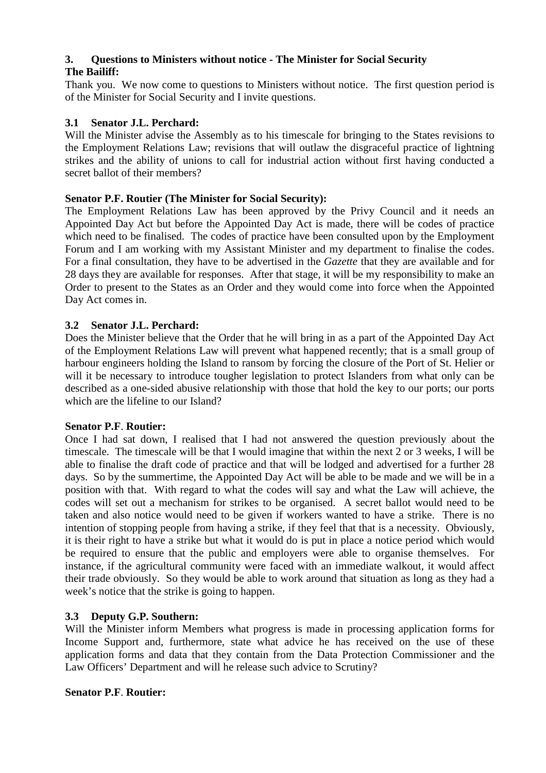# **3. Questions to Ministers without notice - The Minister for Social Security**

# **The Bailiff:**

Thank you. We now come to questions to Ministers without notice. The first question period is of the Minister for Social Security and I invite questions.

# **3.1 Senator J.L. Perchard:**

Will the Minister advise the Assembly as to his timescale for bringing to the States revisions to the Employment Relations Law; revisions that will outlaw the disgraceful practice of lightning strikes and the ability of unions to call for industrial action without first having conducted a secret ballot of their members?

# **Senator P.F. Routier (The Minister for Social Security):**

The Employment Relations Law has been approved by the Privy Council and it needs an Appointed Day Act but before the Appointed Day Act is made, there will be codes of practice which need to be finalised. The codes of practice have been consulted upon by the Employment Forum and I am working with my Assistant Minister and my department to finalise the codes. For a final consultation, they have to be advertised in the *Gazette* that they are available and for 28 days they are available for responses. After that stage, it will be my responsibility to make an Order to present to the States as an Order and they would come into force when the Appointed Day Act comes in.

# **3.2 Senator J.L. Perchard:**

Does the Minister believe that the Order that he will bring in as a part of the Appointed Day Act of the Employment Relations Law will prevent what happened recently; that is a small group of harbour engineers holding the Island to ransom by forcing the closure of the Port of St. Helier or will it be necessary to introduce tougher legislation to protect Islanders from what only can be described as a one-sided abusive relationship with those that hold the key to our ports; our ports which are the lifeline to our Island?

# **Senator P.F**. **Routier:**

Once I had sat down, I realised that I had not answered the question previously about the timescale. The timescale will be that I would imagine that within the next 2 or 3 weeks, I will be able to finalise the draft code of practice and that will be lodged and advertised for a further 28 days. So by the summertime, the Appointed Day Act will be able to be made and we will be in a position with that. With regard to what the codes will say and what the Law will achieve, the codes will set out a mechanism for strikes to be organised. A secret ballot would need to be taken and also notice would need to be given if workers wanted to have a strike. There is no intention of stopping people from having a strike, if they feel that that is a necessity. Obviously, it is their right to have a strike but what it would do is put in place a notice period which would be required to ensure that the public and employers were able to organise themselves. For instance, if the agricultural community were faced with an immediate walkout, it would affect their trade obviously. So they would be able to work around that situation as long as they had a week's notice that the strike is going to happen.

# **3.3 Deputy G.P. Southern:**

Will the Minister inform Members what progress is made in processing application forms for Income Support and, furthermore, state what advice he has received on the use of these application forms and data that they contain from the Data Protection Commissioner and the Law Officers' Department and will he release such advice to Scrutiny?

# **Senator P.F**. **Routier:**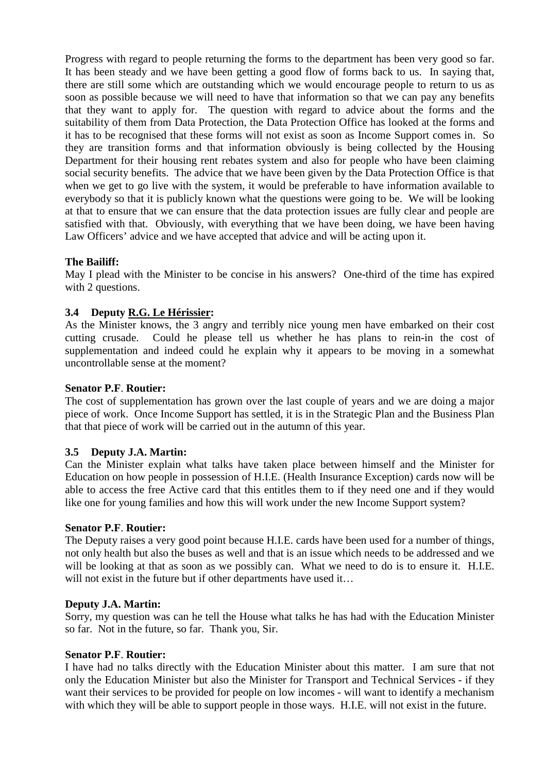Progress with regard to people returning the forms to the department has been very good so far. It has been steady and we have been getting a good flow of forms back to us. In saying that, there are still some which are outstanding which we would encourage people to return to us as soon as possible because we will need to have that information so that we can pay any benefits that they want to apply for. The question with regard to advice about the forms and the suitability of them from Data Protection, the Data Protection Office has looked at the forms and it has to be recognised that these forms will not exist as soon as Income Support comes in. So they are transition forms and that information obviously is being collected by the Housing Department for their housing rent rebates system and also for people who have been claiming social security benefits. The advice that we have been given by the Data Protection Office is that when we get to go live with the system, it would be preferable to have information available to everybody so that it is publicly known what the questions were going to be. We will be looking at that to ensure that we can ensure that the data protection issues are fully clear and people are satisfied with that. Obviously, with everything that we have been doing, we have been having Law Officers' advice and we have accepted that advice and will be acting upon it.

## **The Bailiff:**

May I plead with the Minister to be concise in his answers? One-third of the time has expired with 2 questions.

# **3.4 Deputy R.G. Le Hérissier:**

As the Minister knows, the 3 angry and terribly nice young men have embarked on their cost cutting crusade. Could he please tell us whether he has plans to rein-in the cost of supplementation and indeed could he explain why it appears to be moving in a somewhat uncontrollable sense at the moment?

### **Senator P.F**. **Routier:**

The cost of supplementation has grown over the last couple of years and we are doing a major piece of work. Once Income Support has settled, it is in the Strategic Plan and the Business Plan that that piece of work will be carried out in the autumn of this year.

## **3.5 Deputy J.A. Martin:**

Can the Minister explain what talks have taken place between himself and the Minister for Education on how people in possession of H.I.E. (Health Insurance Exception) cards now will be able to access the free Active card that this entitles them to if they need one and if they would like one for young families and how this will work under the new Income Support system?

#### **Senator P.F**. **Routier:**

The Deputy raises a very good point because H.I.E. cards have been used for a number of things, not only health but also the buses as well and that is an issue which needs to be addressed and we will be looking at that as soon as we possibly can. What we need to do is to ensure it. H.I.E. will not exist in the future but if other departments have used it...

#### **Deputy J.A. Martin:**

Sorry, my question was can he tell the House what talks he has had with the Education Minister so far. Not in the future, so far. Thank you, Sir.

#### **Senator P.F**. **Routier:**

I have had no talks directly with the Education Minister about this matter. I am sure that not only the Education Minister but also the Minister for Transport and Technical Services - if they want their services to be provided for people on low incomes - will want to identify a mechanism with which they will be able to support people in those ways. H.I.E. will not exist in the future.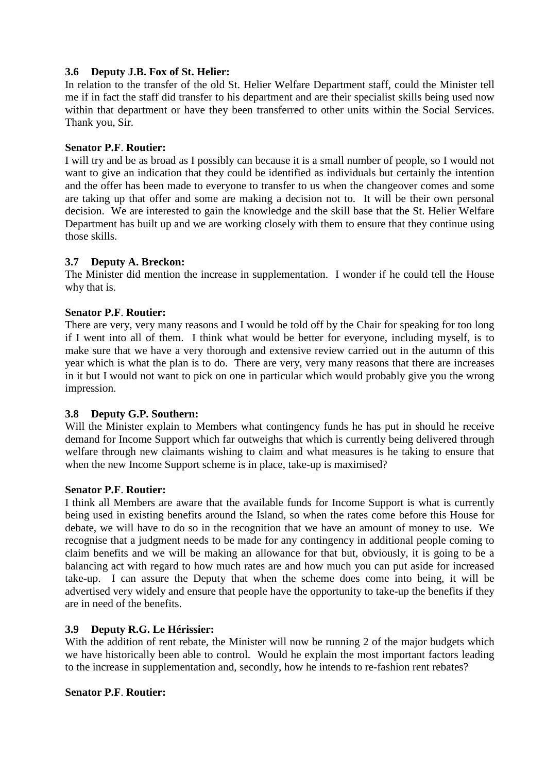### **3.6 Deputy J.B. Fox of St. Helier:**

In relation to the transfer of the old St. Helier Welfare Department staff, could the Minister tell me if in fact the staff did transfer to his department and are their specialist skills being used now within that department or have they been transferred to other units within the Social Services. Thank you, Sir.

### **Senator P.F**. **Routier:**

I will try and be as broad as I possibly can because it is a small number of people, so I would not want to give an indication that they could be identified as individuals but certainly the intention and the offer has been made to everyone to transfer to us when the changeover comes and some are taking up that offer and some are making a decision not to. It will be their own personal decision. We are interested to gain the knowledge and the skill base that the St. Helier Welfare Department has built up and we are working closely with them to ensure that they continue using those skills.

## **3.7 Deputy A. Breckon:**

The Minister did mention the increase in supplementation. I wonder if he could tell the House why that is.

### **Senator P.F**. **Routier:**

There are very, very many reasons and I would be told off by the Chair for speaking for too long if I went into all of them. I think what would be better for everyone, including myself, is to make sure that we have a very thorough and extensive review carried out in the autumn of this year which is what the plan is to do. There are very, very many reasons that there are increases in it but I would not want to pick on one in particular which would probably give you the wrong impression.

#### **3.8 Deputy G.P. Southern:**

Will the Minister explain to Members what contingency funds he has put in should he receive demand for Income Support which far outweighs that which is currently being delivered through welfare through new claimants wishing to claim and what measures is he taking to ensure that when the new Income Support scheme is in place, take-up is maximised?

#### **Senator P.F**. **Routier:**

I think all Members are aware that the available funds for Income Support is what is currently being used in existing benefits around the Island, so when the rates come before this House for debate, we will have to do so in the recognition that we have an amount of money to use. We recognise that a judgment needs to be made for any contingency in additional people coming to claim benefits and we will be making an allowance for that but, obviously, it is going to be a balancing act with regard to how much rates are and how much you can put aside for increased take-up. I can assure the Deputy that when the scheme does come into being, it will be advertised very widely and ensure that people have the opportunity to take-up the benefits if they are in need of the benefits.

#### **3.9 Deputy R.G. Le Hérissier:**

With the addition of rent rebate, the Minister will now be running 2 of the major budgets which we have historically been able to control. Would he explain the most important factors leading to the increase in supplementation and, secondly, how he intends to re-fashion rent rebates?

#### **Senator P.F**. **Routier:**